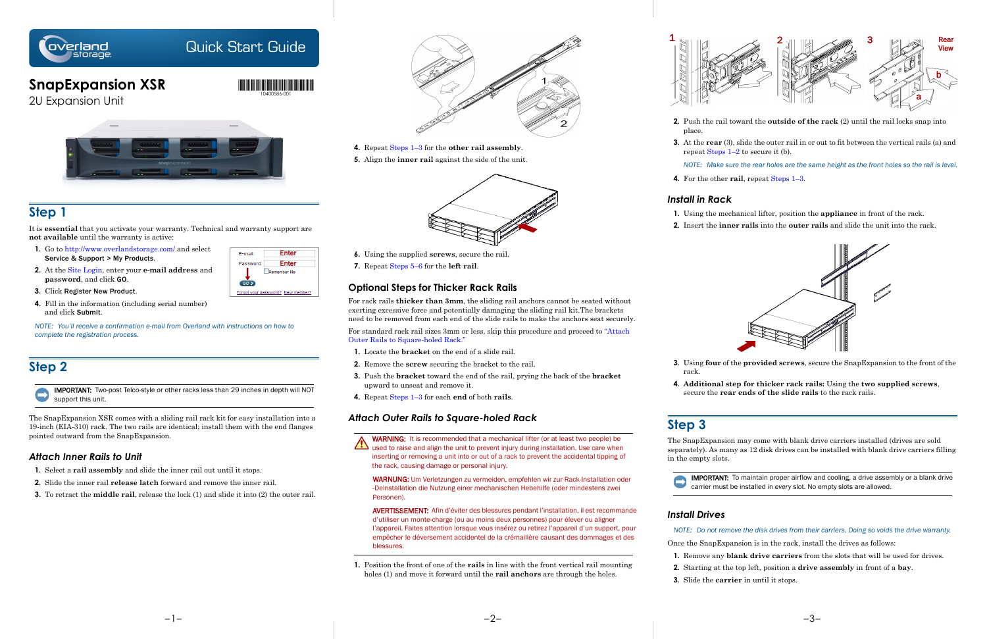

## Quick Start Guide

# **SnapExpansion XSR**

2U Expansion Unit



## **Step 1**

- **1.** Go to<http://www.overlandstorage.com/> and select Service & Support > My Products.
- **2.** At the [Site Login,](http://support.overlandstorage.com/touchpoint/logIn/login.aspx?ReturnUrl=%2ftouchpoint%2fproducts%2fproducts.aspx) enter your **e-mail address** and **password**, and click GO.
- Password: Enter Remember Me  $602$ Forgot your password? New member?

E-mail:

It is **essential** that you activate your warranty. Technical and warranty support are **not available** until the warranty is active:

- **3.** Click Register New Product.
- **4.** Fill in the information (including serial number) and click Submit.

*NOTE: You'll receive a confirmation e-mail from Overland with instructions on how to complete the registration process.*

## **Step 2**

IMPORTANT: Two-post Telco-style or other racks less than 29 inches in depth will NOT support this unit.

The SnapExpansion XSR comes with a sliding rail rack kit for easy installation into a 19-inch (EIA-310) rack. The two rails are identical; install them with the end flanges pointed outward from the SnapExpansion.

For standard rack rail sizes 3mm or less, skip this procedure and proceed to "Attach Outer Rails to Square-holed Rack."

### *Attach Inner Rails to Unit*

- **1.** Select a **rail assembly** and slide the inner rail out until it stops.
- **2.** Slide the inner rail **release latch** forward and remove the inner rail.
- **3.** To retract the **middle rail**, release the lock (1) and slide it into (2) the outer rail.



Enter

- **4.** Repeat Steps 1–3 for the **other rail assembly**.
- **5.** Align the **inner rail** against the side of the unit.



- **6.** Using the supplied **screws**, secure the rail.
- **7.** Repeat Steps 5–6 for the **left rail**.

## **Optional Steps for Thicker Rack Rails**

For rack rails **thicker than 3mm**, the sliding rail anchors cannot be seated without exerting excessive force and potentially damaging the sliding rail kit.The brackets need to be removed from each end of the slide rails to make the anchors seat securely. **3.** At the **rear** (3), slide the outer rail in or out to fit between the vertical rails (a) and repeat Steps  $1-2$  to secure it (b).

- **1.** Locate the **bracket** on the end of a slide rail.
- **2.** Remove the **screw** securing the bracket to the rail.
- **3.** Push the **bracket** toward the end of the rail, prying the back of the **bracket**  upward to unseat and remove it.
- **4.** Repeat Steps 1–3 for each **end** of both **rails**.

## *Attach Outer Rails to Square-holed Rack*



WARNUNG: Um Verletzungen zu vermeiden, empfehlen wir zur Rack-Installation oder -Deinstallation die Nutzung einer mechanischen Hebehilfe (oder mindestens zwei Personen).

AVERTISSEMENT: Afin d'éviter des blessures pendant l'installation, il est recommande d'utiliser un monte-charge (ou au moins deux personnes) pour élever ou aligner l'appareil. Faites attention lorsque vous insérez ou retirez l'appareil d'un support, pour empêcher le déversement accidentel de la crémaillère causant des dommages et des blessures.

**1.** Position the front of one of the **rails** in line with the front vertical rail mounting holes (1) and move it forward until the **rail anchors** are through the holes.

**2.** Push the rail toward the **outside of the rack** (2) until the rail locks snap into

- place.
	-

*NOTE: Make sure the rear holes are the same height as the front holes so the rail is level.* **4.** For the other **rail**, repeat Steps 1–3.

## *Install in Rack*

- 
- 

**1.** Using the mechanical lifter, position the **appliance** in front of the rack.

**2.** Insert the **inner rails** into the **outer rails** and slide the unit into the rack.



**3.** Using **four** of the **provided screws**, secure the SnapExpansion to the front of the

- rack.
- 

**4. Additional step for thicker rack rails:** Using the **two supplied screws**, secure the **rear ends of the slide rails** to the rack rails.

## **Step 3**

The SnapExpansion may come with blank drive carriers installed (drives are sold separately). As many as 12 disk drives can be installed with blank drive carriers filling in the empty slots.



IMPORTANT: To maintain proper airflow and cooling, a drive assembly or a blank drive carrier must be installed in *every* slot. No empty slots are allowed.

## *Install Drives*

- 
- 

*NOTE: Do not remove the disk drives from their carriers. Doing so voids the drive warranty.*

Once the SnapExpansion is in the rack, install the drives as follows:

**1.** Remove any **blank drive carriers** from the slots that will be used for drives.

**2.** Starting at the top left, position a **drive assembly** in front of a **bay**.

**3.** Slide the **carrier** in until it stops.



\*10400586001\* 10400586-001